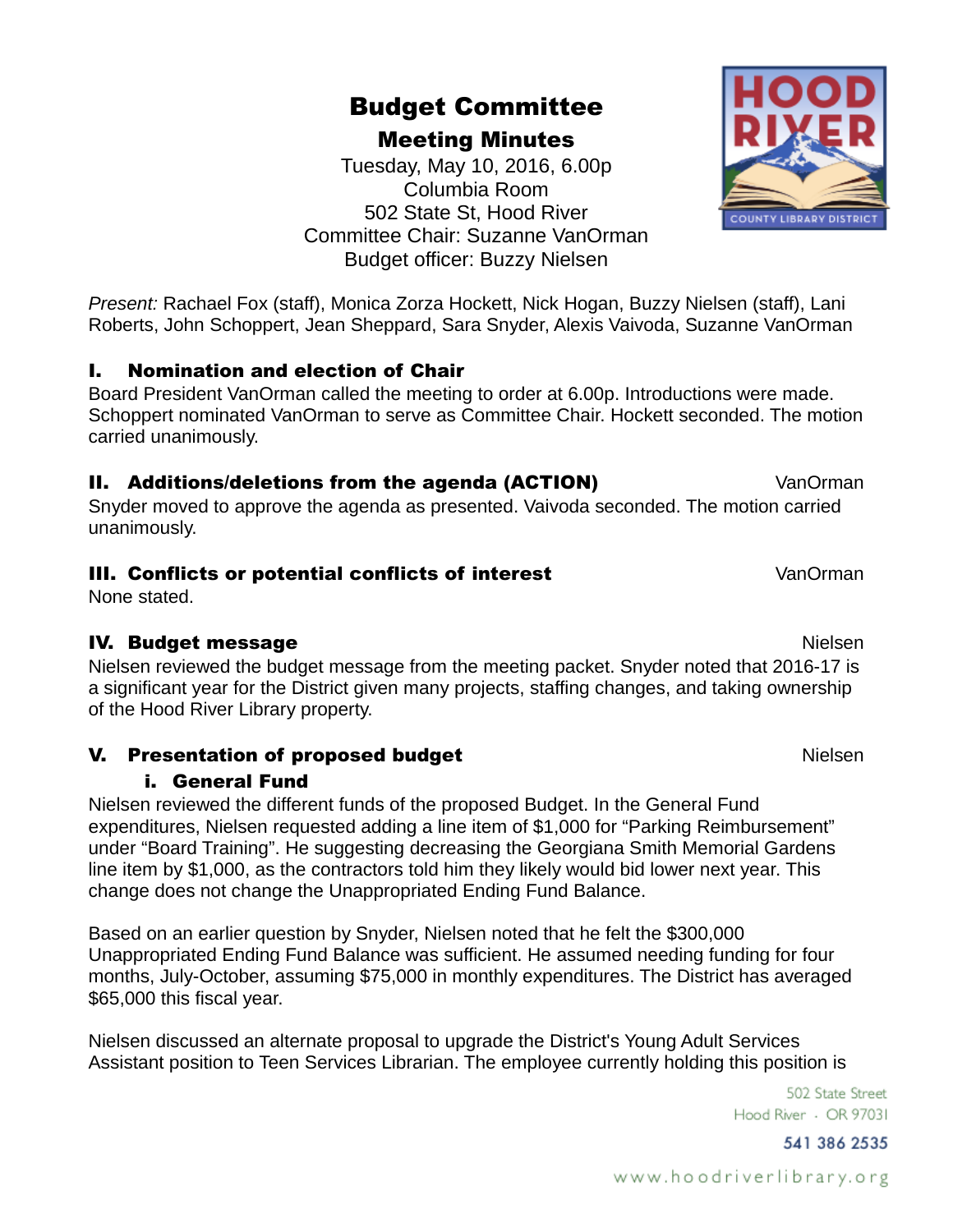#### www.hoodriverlibrary.org

# Budget Committee

Meeting Minutes

Tuesday, May 10, 2016, 6.00p Columbia Room 502 State St, Hood River Committee Chair: Suzanne VanOrman Budget officer: Buzzy Nielsen

*Present:* Rachael Fox (staff), Monica Zorza Hockett, Nick Hogan, Buzzy Nielsen (staff), Lani Roberts, John Schoppert, Jean Sheppard, Sara Snyder, Alexis Vaivoda, Suzanne VanOrman

#### I. Nomination and election of Chair

Board President VanOrman called the meeting to order at 6.00p. Introductions were made. Schoppert nominated VanOrman to serve as Committee Chair. Hockett seconded. The motion carried unanimously.

#### **II. Additions/deletions from the agenda (ACTION) State of Mandrian** VanOrman

Snyder moved to approve the agenda as presented. Vaivoda seconded. The motion carried unanimously.

#### **III. Conflicts or potential conflicts of interest VanOrman**

None stated.

#### **IV. Budget message Nielsen in die Staatsbeke**r van die Stadt Nielsen in die Nielsen in die Nielsen in die Nielsen

Nielsen reviewed the budget message from the meeting packet. Snyder noted that 2016-17 is a significant year for the District given many projects, staffing changes, and taking ownership of the Hood River Library property.

#### V. Presentation of proposed budget Nielsen

#### i. General Fund

Nielsen reviewed the different funds of the proposed Budget. In the General Fund expenditures, Nielsen requested adding a line item of \$1,000 for "Parking Reimbursement" under "Board Training". He suggesting decreasing the Georgiana Smith Memorial Gardens line item by \$1,000, as the contractors told him they likely would bid lower next year. This change does not change the Unappropriated Ending Fund Balance.

Based on an earlier question by Snyder, Nielsen noted that he felt the \$300,000 Unappropriated Ending Fund Balance was sufficient. He assumed needing funding for four months, July-October, assuming \$75,000 in monthly expenditures. The District has averaged \$65,000 this fiscal year.

Nielsen discussed an alternate proposal to upgrade the District's Young Adult Services Assistant position to Teen Services Librarian. The employee currently holding this position is

> 502 State Street Hood River - OR 97031

> > 541 386 2535